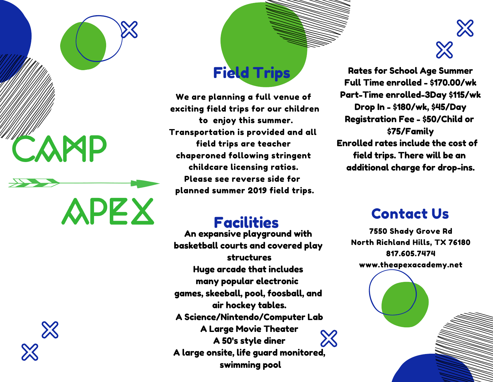

APEX



## Field Trips

We are planning a full venue of exciting field trips for our children to enjoy this summer. Transportation is provided and all field trips are teacher chaperoned following stringent childcare licensing ratios. Please see reverse side for planned summer 2019 field trips.

# $\aleph$

Rates for School Age Summer Full Time enrolled - \$170.00/wk Part-Time enrolled-3Day \$115/wk Drop In - \$180/wk, \$45/Day Registration Fee - \$50/Child or \$75/Family Enrolled rates include the cost of field trips. There will be an additional charge for drop-ins.

#### Facilities

An expansive playground with basketball courts and covered play structures Huge arcade that includes many popular electronic games, skeeball, pool, foosball, and air hockey tables. A Science/Nintendo/Computer Lab A Large Movie Theater Ж A 50's style diner A large onsite, life guard monitored, swimming pool

### Contact Us

7550 Shady Grove Rd North Richland Hills, TX 76180 817.605.7474 www.theapexacademy.net